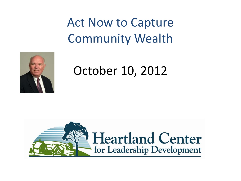### Act Now to Capture Community Wealth



October 10, 2012

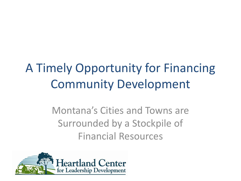## A Timely Opportunity for Financing Community Development

Montana's Cities and Towns are Surrounded by a Stockpile of Financial Resources

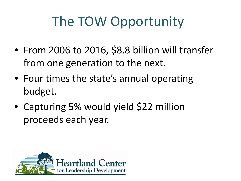## The TOW Opportunity

- From 2006 to 2016, \$8.8 billion will transfer from one generation to the next.
- Four times the state's annual operating budget.
- Capturing 5% would yield \$22 million proceeds each year.

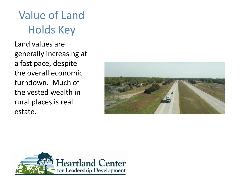#### Value of Land Holds Key

Land values are generally increasing at a fast pace, despite the overall economic turndown. Much of the vested wealth in rural places is real estate.



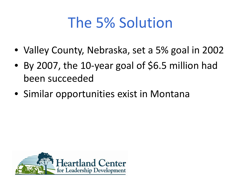## The 5% Solution

- Valley County, Nebraska, set a 5% goal in 2002
- By 2007, the 10-year goal of \$6.5 million had been succeeded
- Similar opportunities exist in Montana

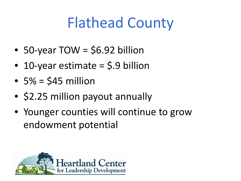# Flathead County

- 50-year TOW = \$6.92 billion
- 10-year estimate  $=$  \$.9 billion
- $5\% = $45$  million
- \$2.25 million payout annually
- Younger counties will continue to grow endowment potential

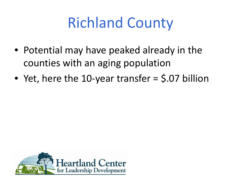# Richland County

- Potential may have peaked already in the counties with an aging population
- Yet, here the 10-year transfer = \$.07 billion

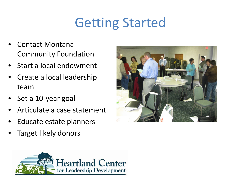## Getting Started

- Contact Montana Community Foundation
- Start a local endowment
- Create a local leadership team
- Set a 10-year goal
- Articulate a case statement
- Educate estate planners
- Target likely donors



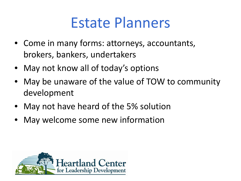## Estate Planners

- Come in many forms: attorneys, accountants, brokers, bankers, undertakers
- May not know all of today's options
- May be unaware of the value of TOW to community development
- May not have heard of the 5% solution
- May welcome some new information

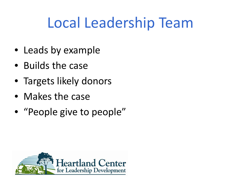# Local Leadership Team

- Leads by example
- Builds the case
- Targets likely donors
- Makes the case
- "People give to people"

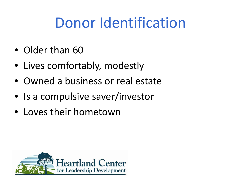## Donor Identification

- Older than 60
- Lives comfortably, modestly
- Owned a business or real estate
- Is a compulsive saver/investor
- Loves their hometown

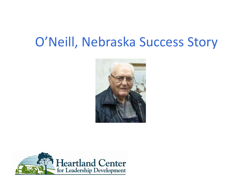### O'Neill, Nebraska Success Story



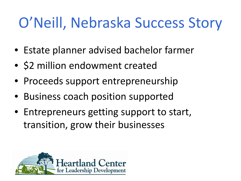# O'Neill, Nebraska Success Story

- Estate planner advised bachelor farmer
- \$2 million endowment created
- Proceeds support entrepreneurship
- Business coach position supported
- Entrepreneurs getting support to start, transition, grow their businesses

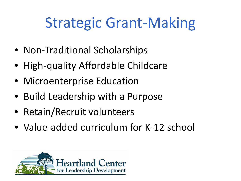# Strategic Grant-Making

- Non-Traditional Scholarships
- High-quality Affordable Childcare
- Microenterprise Education
- Build Leadership with a Purpose
- Retain/Recruit volunteers
- Value-added curriculum for K-12 school

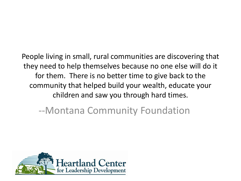People living in small, rural communities are discovering that they need to help themselves because no one else will do it for them. There is no better time to give back to the community that helped build your wealth, educate your children and saw you through hard times.

--Montana Community Foundation

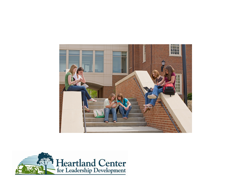